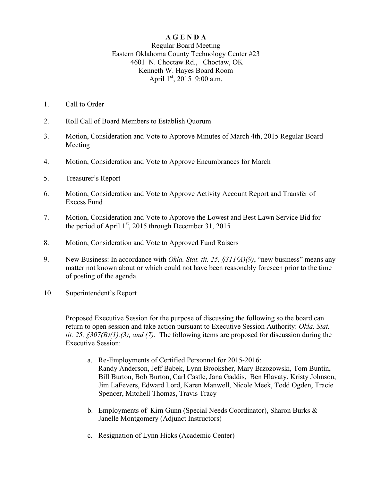## **A G E N D A**

Regular Board Meeting Eastern Oklahoma County Technology Center #23 4601 N. Choctaw Rd., Choctaw, OK Kenneth W. Hayes Board Room April  $1<sup>st</sup>$ , 2015 9:00 a.m.

- 1. Call to Order
- 2. Roll Call of Board Members to Establish Quorum
- 3. Motion, Consideration and Vote to Approve Minutes of March 4th, 2015 Regular Board Meeting
- 4. Motion, Consideration and Vote to Approve Encumbrances for March
- 5. Treasurer's Report
- 6. Motion, Consideration and Vote to Approve Activity Account Report and Transfer of Excess Fund
- 7. Motion, Consideration and Vote to Approve the Lowest and Best Lawn Service Bid for the period of April  $1<sup>st</sup>$ , 2015 through December 31, 2015
- 8. Motion, Consideration and Vote to Approved Fund Raisers
- 9. New Business: In accordance with *Okla. Stat. tit. 25, §311(A)(9)*, "new business" means any matter not known about or which could not have been reasonably foreseen prior to the time of posting of the agenda.
- 10. Superintendent's Report

Proposed Executive Session for the purpose of discussing the following so the board can return to open session and take action pursuant to Executive Session Authority: *Okla. Stat. tit. 25, §307(B)(1),(3), and (7)*. The following items are proposed for discussion during the Executive Session:

- a. Re-Employments of Certified Personnel for 2015-2016: Randy Anderson, Jeff Babek, Lynn Brooksher, Mary Brzozowski, Tom Buntin, Bill Burton, Bob Burton, Carl Castle, Jana Gaddis, Ben Hlavaty, Kristy Johnson, Jim LaFevers, Edward Lord, Karen Manwell, Nicole Meek, Todd Ogden, Tracie Spencer, Mitchell Thomas, Travis Tracy
- b. Employments of Kim Gunn (Special Needs Coordinator), Sharon Burks  $\&$ Janelle Montgomery (Adjunct Instructors)
- c. Resignation of Lynn Hicks (Academic Center)